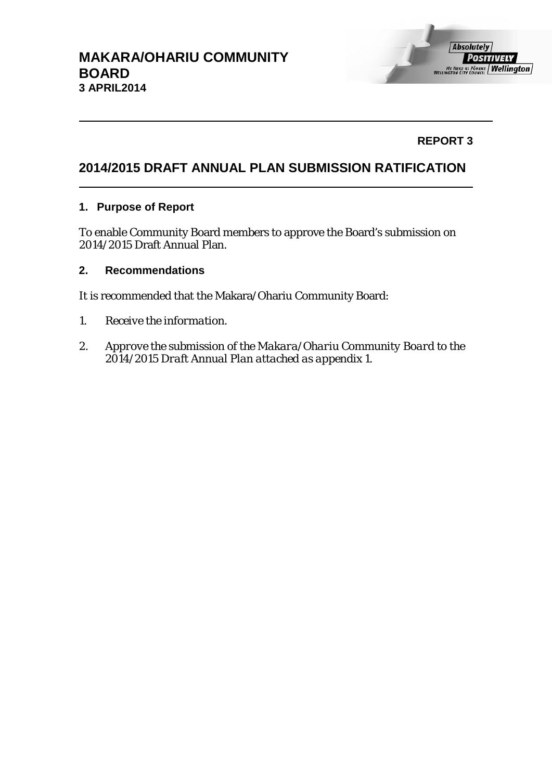## **REPORT 3**

# **2014/2015 DRAFT ANNUAL PLAN SUBMISSION RATIFICATION**

### **1. Purpose of Report**

To enable Community Board members to approve the Board's submission on 2014/2015 Draft Annual Plan.

### **2. Recommendations**

It is recommended that the Makara/Ohariu Community Board:

- *1. Receive the information.*
- *2. Approve the submission of the Makara/Ohariu Community Board to the 2014/2015 Draft Annual Plan attached as appendix 1.*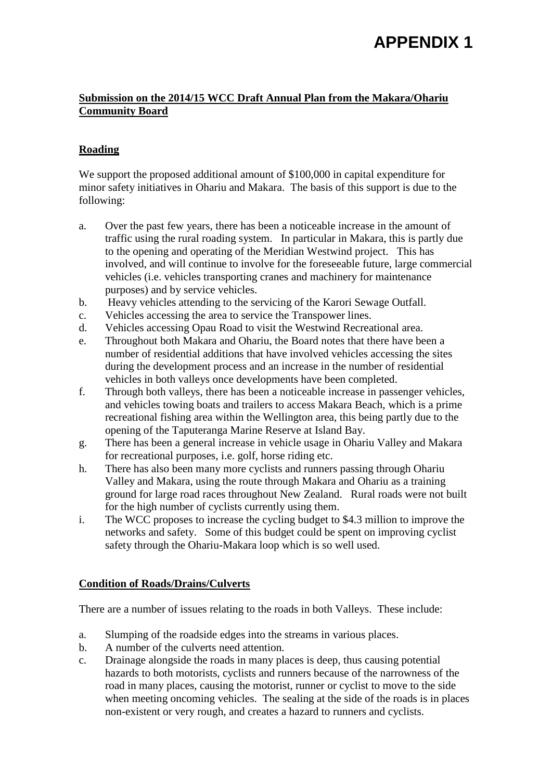# **APPENDIX 1**

### **Submission on the 2014/15 WCC Draft Annual Plan from the Makara/Ohariu Community Board**

## **Roading**

We support the proposed additional amount of \$100,000 in capital expenditure for minor safety initiatives in Ohariu and Makara. The basis of this support is due to the following:

- a. Over the past few years, there has been a noticeable increase in the amount of traffic using the rural roading system. In particular in Makara, this is partly due to the opening and operating of the Meridian Westwind project. This has involved, and will continue to involve for the foreseeable future, large commercial vehicles (i.e. vehicles transporting cranes and machinery for maintenance purposes) and by service vehicles.
- b. Heavy vehicles attending to the servicing of the Karori Sewage Outfall.
- c. Vehicles accessing the area to service the Transpower lines.
- d. Vehicles accessing Opau Road to visit the Westwind Recreational area.
- e. Throughout both Makara and Ohariu, the Board notes that there have been a number of residential additions that have involved vehicles accessing the sites during the development process and an increase in the number of residential vehicles in both valleys once developments have been completed.
- f. Through both valleys, there has been a noticeable increase in passenger vehicles, and vehicles towing boats and trailers to access Makara Beach, which is a prime recreational fishing area within the Wellington area, this being partly due to the opening of the Taputeranga Marine Reserve at Island Bay.
- g. There has been a general increase in vehicle usage in Ohariu Valley and Makara for recreational purposes, i.e. golf, horse riding etc.
- h. There has also been many more cyclists and runners passing through Ohariu Valley and Makara, using the route through Makara and Ohariu as a training ground for large road races throughout New Zealand. Rural roads were not built for the high number of cyclists currently using them.
- i. The WCC proposes to increase the cycling budget to \$4.3 million to improve the networks and safety. Some of this budget could be spent on improving cyclist safety through the Ohariu-Makara loop which is so well used.

#### **Condition of Roads/Drains/Culverts**

There are a number of issues relating to the roads in both Valleys. These include:

- a. Slumping of the roadside edges into the streams in various places.
- b. A number of the culverts need attention.
- c. Drainage alongside the roads in many places is deep, thus causing potential hazards to both motorists, cyclists and runners because of the narrowness of the road in many places, causing the motorist, runner or cyclist to move to the side when meeting oncoming vehicles. The sealing at the side of the roads is in places non-existent or very rough, and creates a hazard to runners and cyclists.